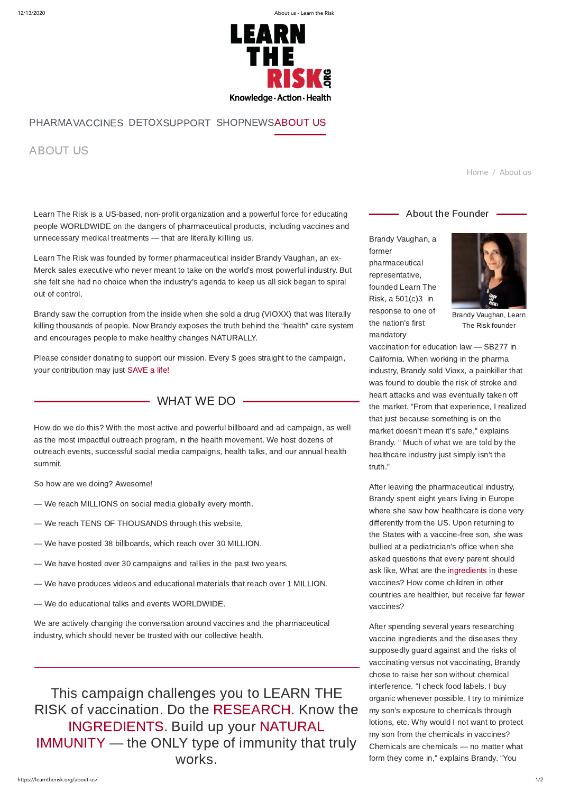12/13/2020 About us - Learn the Risk



## ABOUT US

[Home](https://learntherisk.org/) / About us

Learn The Risk is a US-based, non-profit organization and a powerful force for educating people WORLDWIDE on the dangers of pharmaceutical products, including vaccines and unnecessary medical treatments — that are literally killing us.

Learn The Risk was founded by former pharmaceutical insider Brandy Vaughan, an ex-Merck sales executive who never meant to take on the world's most powerful industry. But she felt she had no choice when the industry's agenda to keep us all sick began to spiral out of control.

Brandy saw the corruption from the inside when she sold a drug (VIOXX) that was literally killing thousands of people. Now Brandy exposes the truth behind the "health" care system and encourages people to make healthy changes NATURALLY.

Please consider donating to support our mission. Every \$ goes straight to the campaign, your contribution may just [SAVE a life!](https://learn-the-risk.square.site/)

WHAT WE DO -

How do we do this? With the most active and powerful billboard and ad campaign, as well as the most impactful outreach program, in the health movement. We host dozens of outreach events, successful social media campaigns, health talks, and our annual health summit.

So how are we doing? Awesome!

- We reach MILLIONS on social media globally every month.
- We reach TENS OF THOUSANDS through this website.
- We have posted 38 billboards, which reach over 30 MILLION.
- We have hosted over 30 campaigns and rallies in the past two years.
- We have produces videos and educational materials that reach over 1 MILLION.

- About the Founder  $-$ 

— We do educational talks and events WORLDWIDE.

We are actively changing the conversation around vaccines and the pharmaceutical industry, which should never be trusted with our collective health.

This campaign challenges you to LEARN THE RISK of vaccination. Do the [RESEARCH.](https://learntherisk.org/studies/index.htm) Know the [INGREDIENTS.](https://learntherisk.org/ingredients/index.htm) Build up your NATURAL [IMMUNITY — the ONLY type of immunity that](https://learntherisk.org/immunity/index.htm) truly works.



Brandy Vaughan, Learn The Risk founder

Brandy Vaughan, a former pharmaceutical representative, founded Learn The Risk, a 501(c)3 in response to one of the nation's first mandatory

vaccination for education law — SB277 in California. When working in the pharma industry, Brandy sold Vioxx, a painkiller that was found to double the risk of stroke and heart attacks and was eventually taken off the market. "From that experience, I realized that just because something is on the market doesn't mean it's safe," explains Brandy. " Much of what we are told by the healthcare industry just simply isn't the truth."

After leaving the pharmaceutical industry, Brandy spent eight years living in Europe where she saw how healthcare is done very differently from the US. Upon returning to the States with a vaccine-free son, she was bullied at a pediatrician's office when she asked questions that every parent should ask like, What are the [ingredients](https://learntherisk.org/ingredients/index.htm) in these vaccines? How come children in other countries are healthier, but receive far fewer

vaccines?

After spending several years researching vaccine ingredients and the diseases they supposedly guard against and the risks of vaccinating versus not vaccinating, Brandy chose to raise her son without chemical interference. "I check food labels. I buy organic whenever possible. I try to minimize my son's exposure to chemicals through lotions, etc. Why would I not want to protect my son from the chemicals in vaccines? Chemicals are chemicals — no matter what form they come in," explains Brandy. "You

## [PHARMA](https://learntherisk.org/pharma/)[VACCINES](https://learntherisk.org/vaccines/) [DETOX](https://learntherisk.org/detox/)SUPPORT [SHOP](https://learn-the-risk.square.site/)[NEWS](https://learntherisk.org/category/news/)[ABOUT US](https://learntherisk.org/about-us/)